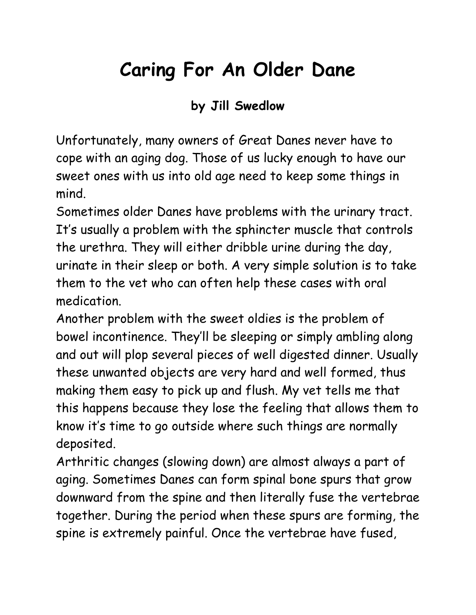## **Caring For An Older Dane**

## **by Jill Swedlow**

Unfortunately, many owners of Great Danes never have to cope with an aging dog. Those of us lucky enough to have our sweet ones with us into old age need to keep some things in mind.

Sometimes older Danes have problems with the urinary tract. It's usually a problem with the sphincter muscle that controls the urethra. They will either dribble urine during the day, urinate in their sleep or both. A very simple solution is to take them to the vet who can often help these cases with oral medication.

Another problem with the sweet oldies is the problem of bowel incontinence. They'll be sleeping or simply ambling along and out will plop several pieces of well digested dinner. Usually these unwanted objects are very hard and well formed, thus making them easy to pick up and flush. My vet tells me that this happens because they lose the feeling that allows them to know it's time to go outside where such things are normally deposited.

Arthritic changes (slowing down) are almost always a part of aging. Sometimes Danes can form spinal bone spurs that grow downward from the spine and then literally fuse the vertebrae together. During the period when these spurs are forming, the spine is extremely painful. Once the vertebrae have fused,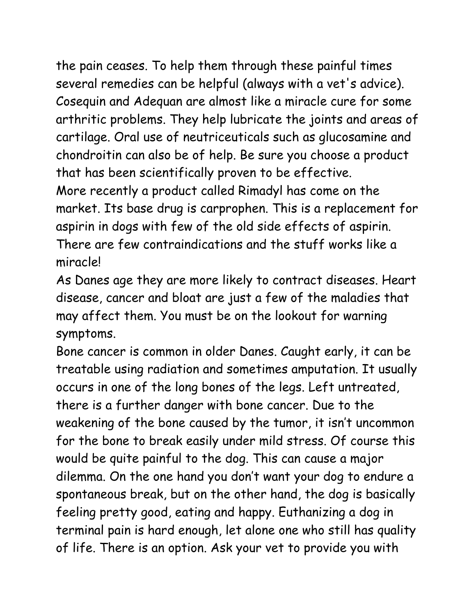the pain ceases. To help them through these painful times several remedies can be helpful (always with a vet's advice). Cosequin and Adequan are almost like a miracle cure for some arthritic problems. They help lubricate the joints and areas of cartilage. Oral use of neutriceuticals such as glucosamine and chondroitin can also be of help. Be sure you choose a product that has been scientifically proven to be effective.

More recently a product called Rimadyl has come on the market. Its base drug is carprophen. This is a replacement for aspirin in dogs with few of the old side effects of aspirin. There are few contraindications and the stuff works like a miracle!

As Danes age they are more likely to contract diseases. Heart disease, cancer and bloat are just a few of the maladies that may affect them. You must be on the lookout for warning symptoms.

Bone cancer is common in older Danes. Caught early, it can be treatable using radiation and sometimes amputation. It usually occurs in one of the long bones of the legs. Left untreated, there is a further danger with bone cancer. Due to the weakening of the bone caused by the tumor, it isn't uncommon for the bone to break easily under mild stress. Of course this would be quite painful to the dog. This can cause a major dilemma. On the one hand you don't want your dog to endure a spontaneous break, but on the other hand, the dog is basically feeling pretty good, eating and happy. Euthanizing a dog in terminal pain is hard enough, let alone one who still has quality of life. There is an option. Ask your vet to provide you with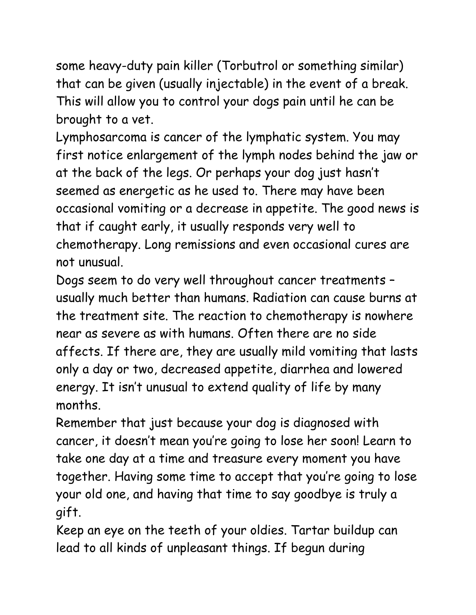some heavy-duty pain killer (Torbutrol or something similar) that can be given (usually injectable) in the event of a break. This will allow you to control your dogs pain until he can be brought to a vet.

Lymphosarcoma is cancer of the lymphatic system. You may first notice enlargement of the lymph nodes behind the jaw or at the back of the legs. Or perhaps your dog just hasn't seemed as energetic as he used to. There may have been occasional vomiting or a decrease in appetite. The good news is that if caught early, it usually responds very well to chemotherapy. Long remissions and even occasional cures are not unusual.

Dogs seem to do very well throughout cancer treatments – usually much better than humans. Radiation can cause burns at the treatment site. The reaction to chemotherapy is nowhere near as severe as with humans. Often there are no side affects. If there are, they are usually mild vomiting that lasts only a day or two, decreased appetite, diarrhea and lowered energy. It isn't unusual to extend quality of life by many months.

Remember that just because your dog is diagnosed with cancer, it doesn't mean you're going to lose her soon! Learn to take one day at a time and treasure every moment you have together. Having some time to accept that you're going to lose your old one, and having that time to say goodbye is truly a gift.

Keep an eye on the teeth of your oldies. Tartar buildup can lead to all kinds of unpleasant things. If begun during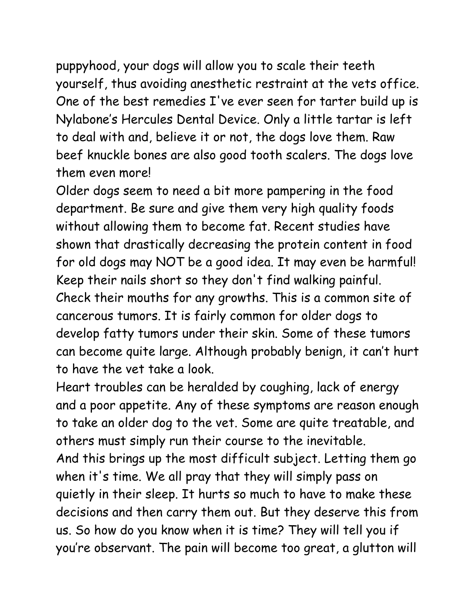puppyhood, your dogs will allow you to scale their teeth yourself, thus avoiding anesthetic restraint at the vets office. One of the best remedies I've ever seen for tarter build up is Nylabone's Hercules Dental Device. Only a little tartar is left to deal with and, believe it or not, the dogs love them. Raw beef knuckle bones are also good tooth scalers. The dogs love them even more!

Older dogs seem to need a bit more pampering in the food department. Be sure and give them very high quality foods without allowing them to become fat. Recent studies have shown that drastically decreasing the protein content in food for old dogs may NOT be a good idea. It may even be harmful! Keep their nails short so they don't find walking painful. Check their mouths for any growths. This is a common site of cancerous tumors. It is fairly common for older dogs to develop fatty tumors under their skin. Some of these tumors can become quite large. Although probably benign, it can't hurt to have the vet take a look.

Heart troubles can be heralded by coughing, lack of energy and a poor appetite. Any of these symptoms are reason enough to take an older dog to the vet. Some are quite treatable, and others must simply run their course to the inevitable.

And this brings up the most difficult subject. Letting them go when it's time. We all pray that they will simply pass on quietly in their sleep. It hurts so much to have to make these decisions and then carry them out. But they deserve this from us. So how do you know when it is time? They will tell you if you're observant. The pain will become too great, a glutton will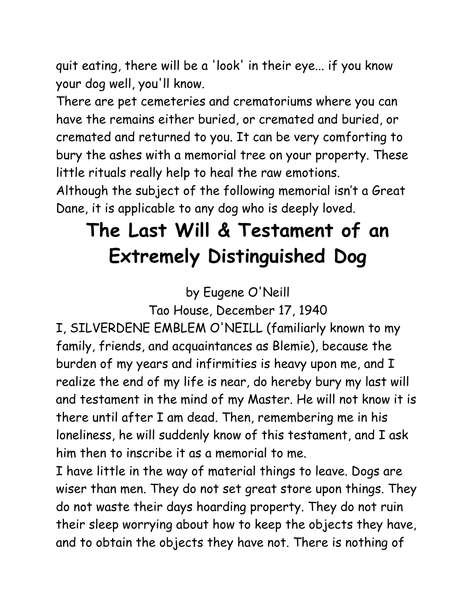quit eating, there will be a 'look' in their eye... if you know your dog well, you'll know.

There are pet cemeteries and crematoriums where you can have the remains either buried, or cremated and buried, or cremated and returned to you. It can be very comforting to bury the ashes with a memorial tree on your property. These little rituals really help to heal the raw emotions.

Although the subject of the following memorial isn't a Great Dane, it is applicable to any dog who is deeply loved.

## **The Last Will & Testament of an Extremely Distinguished Dog**

by Eugene O'Neill

Tao House, December 17, 1940

I, SILVERDENE EMBLEM O'NEILL (familiarly known to my family, friends, and acquaintances as Blemie), because the burden of my years and infirmities is heavy upon me, and I realize the end of my life is near, do hereby bury my last will and testament in the mind of my Master. He will not know it is there until after I am dead. Then, remembering me in his loneliness, he will suddenly know of this testament, and I ask him then to inscribe it as a memorial to me.

I have little in the way of material things to leave. Dogs are wiser than men. They do not set great store upon things. They do not waste their days hoarding property. They do not ruin their sleep worrying about how to keep the objects they have, and to obtain the objects they have not. There is nothing of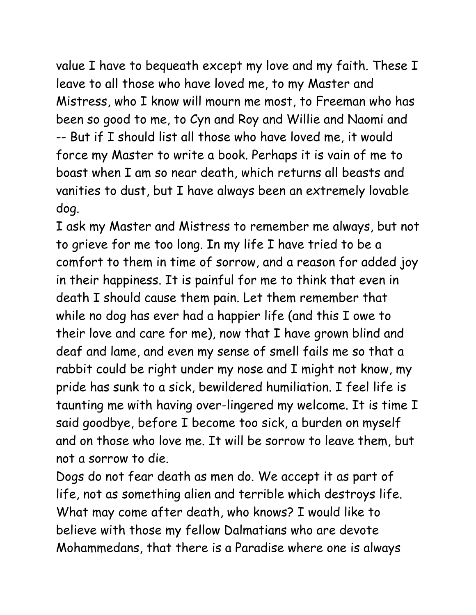value I have to bequeath except my love and my faith. These I leave to all those who have loved me, to my Master and Mistress, who I know will mourn me most, to Freeman who has been so good to me, to Cyn and Roy and Willie and Naomi and -- But if I should list all those who have loved me, it would force my Master to write a book. Perhaps it is vain of me to boast when I am so near death, which returns all beasts and vanities to dust, but I have always been an extremely lovable dog.

I ask my Master and Mistress to remember me always, but not to grieve for me too long. In my life I have tried to be a comfort to them in time of sorrow, and a reason for added joy in their happiness. It is painful for me to think that even in death I should cause them pain. Let them remember that while no dog has ever had a happier life (and this I owe to their love and care for me), now that I have grown blind and deaf and lame, and even my sense of smell fails me so that a rabbit could be right under my nose and I might not know, my pride has sunk to a sick, bewildered humiliation. I feel life is taunting me with having over-lingered my welcome. It is time I said goodbye, before I become too sick, a burden on myself and on those who love me. It will be sorrow to leave them, but not a sorrow to die.

Dogs do not fear death as men do. We accept it as part of life, not as something alien and terrible which destroys life. What may come after death, who knows? I would like to believe with those my fellow Dalmatians who are devote Mohammedans, that there is a Paradise where one is always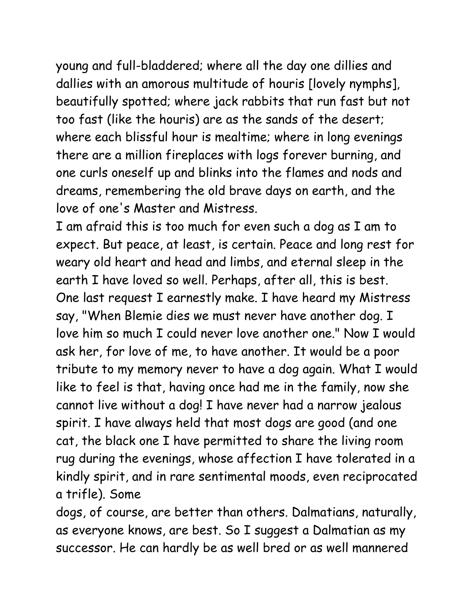young and full-bladdered; where all the day one dillies and dallies with an amorous multitude of houris [lovely nymphs], beautifully spotted; where jack rabbits that run fast but not too fast (like the houris) are as the sands of the desert; where each blissful hour is mealtime; where in long evenings there are a million fireplaces with logs forever burning, and one curls oneself up and blinks into the flames and nods and dreams, remembering the old brave days on earth, and the love of one's Master and Mistress.

I am afraid this is too much for even such a dog as I am to expect. But peace, at least, is certain. Peace and long rest for weary old heart and head and limbs, and eternal sleep in the earth I have loved so well. Perhaps, after all, this is best. One last request I earnestly make. I have heard my Mistress say, "When Blemie dies we must never have another dog. I love him so much I could never love another one." Now I would ask her, for love of me, to have another. It would be a poor tribute to my memory never to have a dog again. What I would like to feel is that, having once had me in the family, now she cannot live without a dog! I have never had a narrow jealous spirit. I have always held that most dogs are good (and one cat, the black one I have permitted to share the living room rug during the evenings, whose affection I have tolerated in a kindly spirit, and in rare sentimental moods, even reciprocated a trifle). Some

dogs, of course, are better than others. Dalmatians, naturally, as everyone knows, are best. So I suggest a Dalmatian as my successor. He can hardly be as well bred or as well mannered